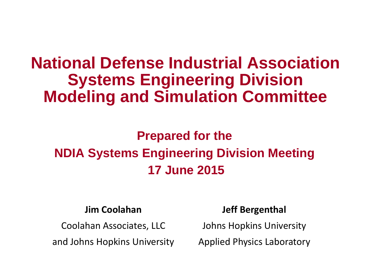# **National Defense Industrial Association Systems Engineering Division Modeling and Simulation Committee**

## **Prepared for the NDIA Systems Engineering Division Meeting 17 June 2015**

#### **Jim Coolahan**

Coolahan Associates, LLC

and Johns Hopkins University

#### **Jeff Bergenthal**

Johns Hopkins University

Applied Physics Laboratory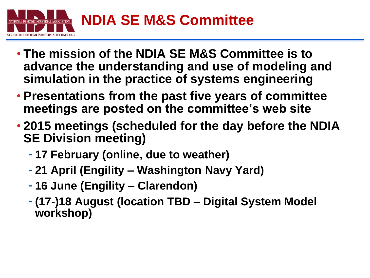

- **The mission of the NDIA SE M&S Committee is to advance the understanding and use of modeling and simulation in the practice of systems engineering**
- **Presentations from the past five years of committee meetings are posted on the committee's web site**
- **2015 meetings (scheduled for the day before the NDIA SE Division meeting)**
	- **17 February (online, due to weather)**
	- **21 April (Engility – Washington Navy Yard)**
	- **16 June (Engility – Clarendon)**
	- **(17-)18 August (location TBD – Digital System Model workshop)**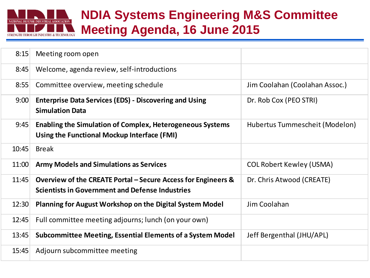

### **NDIA Systems Engineering M&S Committee Meeting Agenda, 16 June 2015**

| 8:15  | Meeting room open                                                                                                       |                                 |
|-------|-------------------------------------------------------------------------------------------------------------------------|---------------------------------|
| 8:45  | Welcome, agenda review, self-introductions                                                                              |                                 |
| 8:55  | Committee overview, meeting schedule                                                                                    | Jim Coolahan (Coolahan Assoc.)  |
| 9:00  | <b>Enterprise Data Services (EDS) - Discovering and Using</b><br><b>Simulation Data</b>                                 | Dr. Rob Cox (PEO STRI)          |
| 9:45  | <b>Enabling the Simulation of Complex, Heterogeneous Systems</b><br>Using the Functional Mockup Interface (FMI)         | Hubertus Tummescheit (Modelon)  |
| 10:45 | <b>Break</b>                                                                                                            |                                 |
| 11:00 | <b>Army Models and Simulations as Services</b>                                                                          | <b>COL Robert Kewley (USMA)</b> |
| 11:45 | Overview of the CREATE Portal – Secure Access for Engineers &<br><b>Scientists in Government and Defense Industries</b> | Dr. Chris Atwood (CREATE)       |
| 12:30 | <b>Planning for August Workshop on the Digital System Model</b>                                                         | Jim Coolahan                    |
| 12:45 | Full committee meeting adjourns; lunch (on your own)                                                                    |                                 |
| 13:45 | <b>Subcommittee Meeting, Essential Elements of a System Model</b>                                                       | Jeff Bergenthal (JHU/APL)       |
| 15:45 | Adjourn subcommittee meeting                                                                                            |                                 |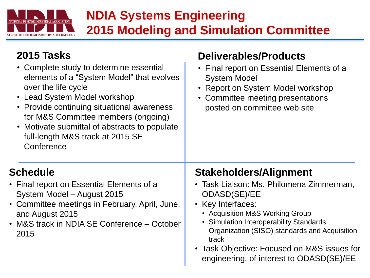

### **NDIA Systems Engineering 2015 Modeling and Simulation Committee**

**Deliverables/Products**

#### **2015 Tasks**

| • Complete study to determine essential<br>elements of a "System Model" that evolves<br>over the life cycle<br>• Lead System Model workshop<br>• Provide continuing situational awareness<br>for M&S Committee members (ongoing)<br>• Motivate submittal of abstracts to populate<br>full-length M&S track at 2015 SE<br>Conference | • Final report on Essential Elements of a<br><b>System Model</b><br>• Report on System Model workshop<br>• Committee meeting presentations<br>posted on committee web site                                                                                                                                                                               |
|-------------------------------------------------------------------------------------------------------------------------------------------------------------------------------------------------------------------------------------------------------------------------------------------------------------------------------------|----------------------------------------------------------------------------------------------------------------------------------------------------------------------------------------------------------------------------------------------------------------------------------------------------------------------------------------------------------|
| <b>Schedule</b><br>• Final report on Essential Elements of a<br>System Model - August 2015<br>• Committee meetings in February, April, June,<br>and August 2015<br>• M&S track in NDIA SE Conference - October<br>2015                                                                                                              | <b>Stakeholders/Alignment</b><br>• Task Liaison: Ms. Philomena Zimmerman,<br><b>ODASD(SE)/EE</b><br>• Key Interfaces:<br>• Acquisition M&S Working Group<br>• Simulation Interoperability Standards<br>Organization (SISO) standards and Acquisition<br>track<br>• Task Objective: Focused on M&S issues for<br>engineering, of interest to ODASD(SE)/EE |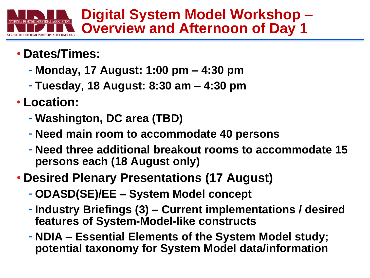

**Digital System Model Workshop – Overview and Afternoon of Day 1**

- **Dates/Times:**
	- **Monday, 17 August: 1:00 pm – 4:30 pm**
	- **Tuesday, 18 August: 8:30 am – 4:30 pm**
- **Location:**
	- **Washington, DC area (TBD)**
	- **Need main room to accommodate 40 persons**
	- **Need three additional breakout rooms to accommodate 15 persons each (18 August only)**
- **Desired Plenary Presentations (17 August)**
	- **ODASD(SE)/EE – System Model concept**
	- **Industry Briefings (3) – Current implementations / desired features of System-Model-like constructs**
	- **NDIA – Essential Elements of the System Model study; potential taxonomy for System Model data/information**